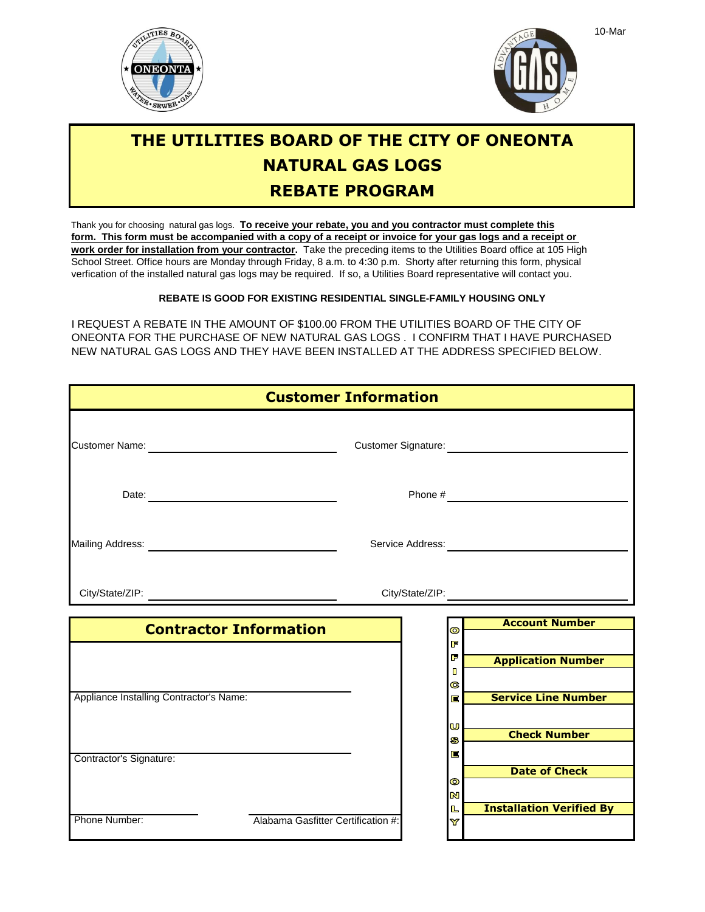



## **REBATE PROGRAM THE UTILITIES BOARD OF THE CITY OF ONEONTA NATURAL GAS LOGS**

School Street. Office hours are Monday through Friday, 8 a.m. to 4:30 p.m. Shorty after returning this form, physical **work order for installation from your contractor.** Take the preceding items to the Utilities Board office at 105 High **form. This form must be accompanied with a copy of a receipt or invoice for your gas logs and a receipt or**  Thank you for choosing natural gas logs. **To receive your rebate, you and you contractor must complete this** verfication of the installed natural gas logs may be required. If so, a Utilities Board representative will contact you.

**REBATE IS GOOD FOR EXISTING RESIDENTIAL SINGLE-FAMILY HOUSING ONLY**

I REQUEST A REBATE IN THE AMOUNT OF \$100.00 FROM THE UTILITIES BOARD OF THE CITY OF ONEONTA FOR THE PURCHASE OF NEW NATURAL GAS LOGS . I CONFIRM THAT I HAVE PURCHASED NEW NATURAL GAS LOGS AND THEY HAVE BEEN INSTALLED AT THE ADDRESS SPECIFIED BELOW.

| <b>Customer Information</b>             |                               |  |           |                                 |
|-----------------------------------------|-------------------------------|--|-----------|---------------------------------|
|                                         |                               |  |           |                                 |
|                                         | Date:                         |  |           |                                 |
|                                         |                               |  |           |                                 |
|                                         |                               |  |           |                                 |
|                                         | <b>Contractor Information</b> |  | $\bullet$ | <b>Account Number</b>           |
|                                         |                               |  | F         |                                 |
|                                         |                               |  | F         | <b>Application Number</b>       |
|                                         |                               |  | П<br>C    |                                 |
| Appliance Installing Contractor's Name: |                               |  | E         | <b>Service Line Number</b>      |
|                                         |                               |  |           |                                 |
|                                         |                               |  | U<br>S    | <b>Check Number</b>             |
|                                         |                               |  | E         |                                 |
| Contractor's Signature:                 |                               |  |           | <b>Date of Check</b>            |
|                                         |                               |  | $\bullet$ |                                 |
|                                         |                               |  |           |                                 |
|                                         |                               |  | N<br>L    | <b>Installation Verified By</b> |